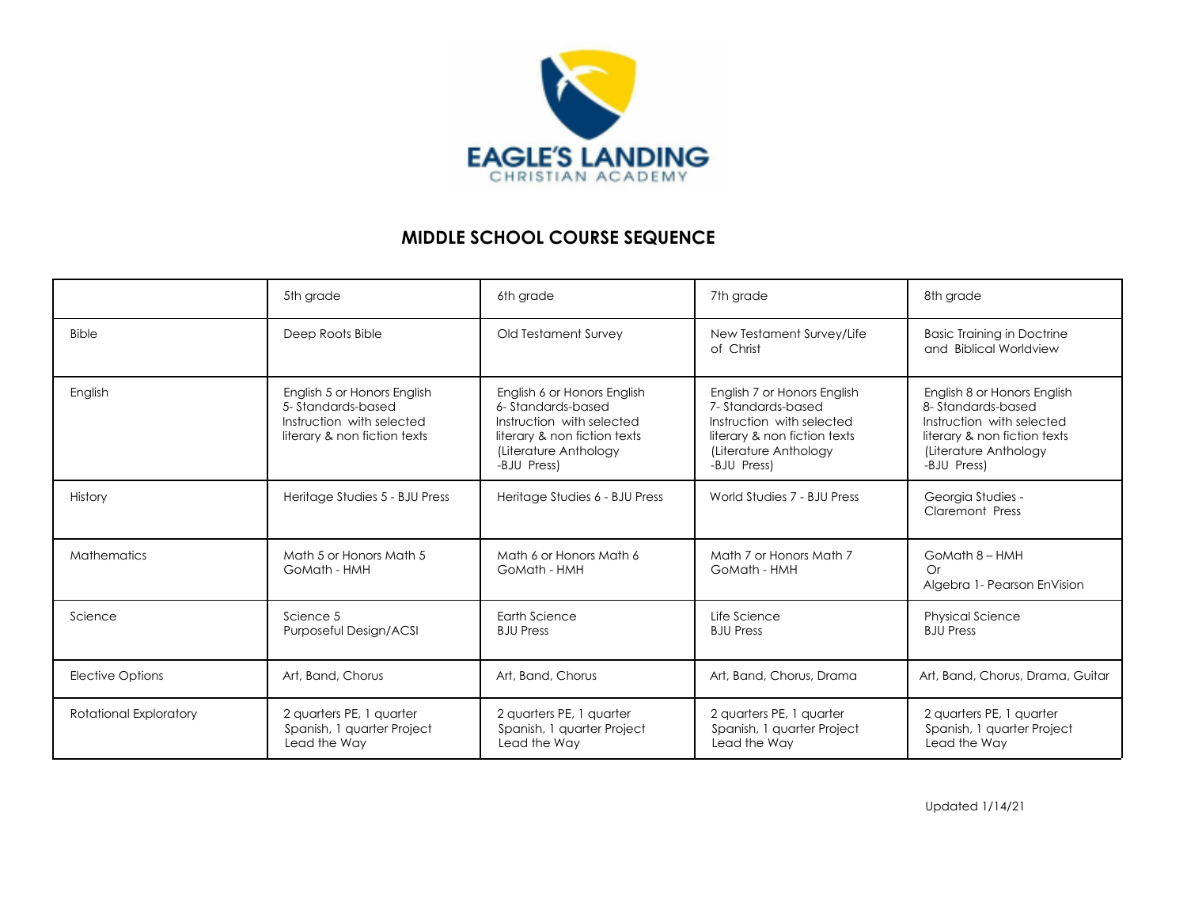

## **MIDDLE SCHOOL COURSE SEQUENCE**

|                         | 5th grade                                                                                                     | 6th grade                                                                                                                                             | 7th grade                                                                                                                                             | 8th grade                                                                                                                                             |
|-------------------------|---------------------------------------------------------------------------------------------------------------|-------------------------------------------------------------------------------------------------------------------------------------------------------|-------------------------------------------------------------------------------------------------------------------------------------------------------|-------------------------------------------------------------------------------------------------------------------------------------------------------|
| <b>Bible</b>            | Deep Roots Bible                                                                                              | Old Testament Survey                                                                                                                                  | New Testament Survey/Life<br>of Christ                                                                                                                | <b>Basic Training in Doctrine</b><br>and Biblical Worldview                                                                                           |
| English                 | English 5 or Honors English<br>5-Standards-based<br>Instruction with selected<br>literary & non fiction texts | English 6 or Honors English<br>6-Standards-based<br>Instruction with selected<br>literary & non fiction texts<br>(Literature Anthology<br>-BJU Press) | English 7 or Honors English<br>7-Standards-based<br>Instruction with selected<br>literary & non fiction texts<br>(Literature Anthology<br>-BJU Press) | English 8 or Honors English<br>8-Standards-based<br>Instruction with selected<br>literary & non fiction texts<br>(Literature Anthology<br>-BJU Press) |
| History                 | Heritage Studies 5 - BJU Press                                                                                | Heritage Studies 6 - BJU Press                                                                                                                        | World Studies 7 - BJU Press                                                                                                                           | Georgia Studies -<br>Claremont Press                                                                                                                  |
| <b>Mathematics</b>      | Math 5 or Honors Math 5<br>GoMath - HMH                                                                       | Math 6 or Honors Math 6<br>GoMath - HMH                                                                                                               | Math 7 or Honors Math 7<br>GoMath - HMH                                                                                                               | GoMath 8 - HMH<br>$\bigcirc$ r<br>Algebra 1- Pearson EnVision                                                                                         |
| Science                 | Science 5<br>Purposeful Design/ACSI                                                                           | Earth Science<br><b>BJU</b> Press                                                                                                                     | Life Science<br><b>BJU</b> Press                                                                                                                      | <b>Physical Science</b><br><b>BJU Press</b>                                                                                                           |
| <b>Elective Options</b> | Art, Band, Chorus                                                                                             | Art, Band, Chorus                                                                                                                                     | Art, Band, Chorus, Drama                                                                                                                              | Art, Band, Chorus, Drama, Guitar                                                                                                                      |
| Rotational Exploratory  | 2 quarters PE, 1 quarter<br>Spanish, 1 quarter Project<br>Lead the Way                                        | 2 quarters PE, 1 quarter<br>Spanish, 1 quarter Project<br>Lead the Way                                                                                | 2 quarters PE, 1 quarter<br>Spanish, 1 quarter Project<br>Lead the Way                                                                                | 2 quarters PE, 1 quarter<br>Spanish, 1 quarter Project<br>Lead the Way                                                                                |

Updated 1/14/21